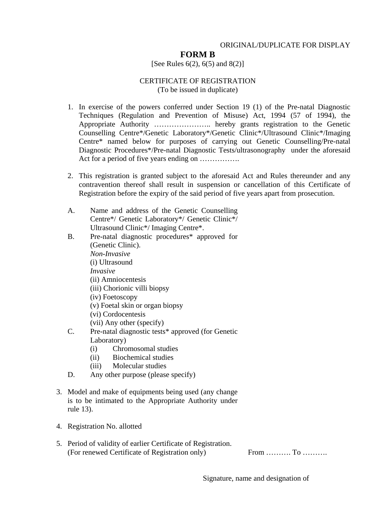# ORIGINAL/DUPLICATE FOR DISPLAY

# **FORM B**

### [See Rules  $6(2)$ ,  $6(5)$  and  $8(2)$ ]

#### CERTIFICATE OF REGISTRATION (To be issued in duplicate)

- 1. In exercise of the powers conferred under Section 19 (1) of the Pre-natal Diagnostic Techniques (Regulation and Prevention of Misuse) Act, 1994 (57 of 1994), the Appropriate Authority ………………….. hereby grants registration to the Genetic Counselling Centre\*/Genetic Laboratory\*/Genetic Clinic\*/Ultrasound Clinic\*/Imaging Centre\* named below for purposes of carrying out Genetic Counselling/Pre-natal Diagnostic Procedures\*/Pre-natal Diagnostic Tests/ultrasonography under the aforesaid Act for a period of five years ending on …………….
- 2. This registration is granted subject to the aforesaid Act and Rules thereunder and any contravention thereof shall result in suspension or cancellation of this Certificate of Registration before the expiry of the said period of five years apart from prosecution.
- A. Name and address of the Genetic Counselling Centre\*/ Genetic Laboratory\*/ Genetic Clinic\*/ Ultrasound Clinic\*/ Imaging Centre\*.
- B. Pre-natal diagnostic procedures\* approved for (Genetic Clinic). *Non-Invasive*  (i) Ultrasound *Invasive*  (ii) Amniocentesis (iii) Chorionic villi biopsy (iv) Foetoscopy (v) Foetal skin or organ biopsy (vi) Cordocentesis (vii) Any other (specify) C. Pre-natal diagnostic tests\* approved (for Genetic
	- Laboratory)
	- (i) Chromosomal studies
	- (ii) Biochemical studies
	- (iii) Molecular studies
- D. Any other purpose (please specify)
- 3. Model and make of equipments being used (any change is to be intimated to the Appropriate Authority under rule 13).
- 4. Registration No. allotted
- 5. Period of validity of earlier Certificate of Registration. (For renewed Certificate of Registration only) From ………. To ……….

Signature, name and designation of